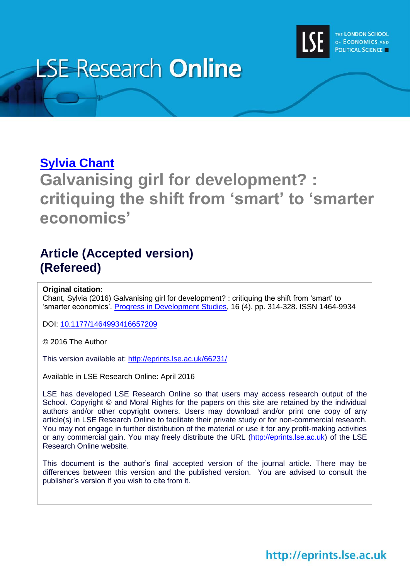

# **LSE Research Online**

## **[Sylvia Chant](http://www.lse.ac.uk/researchAndExpertise/Experts/profile.aspx?KeyValue=s.chant@lse.ac.uk)**

# **Galvanising girl for development? : critiquing the shift from 'smart' to 'smarter economics'**

### **Article (Accepted version) (Refereed)**

#### **Original citation:**

Chant, Sylvia (2016) Galvanising girl for development? : critiquing the shift from 'smart' to 'smarter economics'. [Progress in Development Studies,](http://journals.sagepub.com/home/pdj) 16 (4). pp. 314-328. ISSN 1464-9934

DOI: [10.1177/1464993416657209](http://dx.doi.org/10.1177/1464993416657209)

© 2016 The Author

This version available at:<http://eprints.lse.ac.uk/66231/>

Available in LSE Research Online: April 2016

LSE has developed LSE Research Online so that users may access research output of the School. Copyright © and Moral Rights for the papers on this site are retained by the individual authors and/or other copyright owners. Users may download and/or print one copy of any article(s) in LSE Research Online to facilitate their private study or for non-commercial research. You may not engage in further distribution of the material or use it for any profit-making activities or any commercial gain. You may freely distribute the URL (http://eprints.lse.ac.uk) of the LSE Research Online website.

This document is the author's final accepted version of the journal article. There may be differences between this version and the published version. You are advised to consult the publisher's version if you wish to cite from it.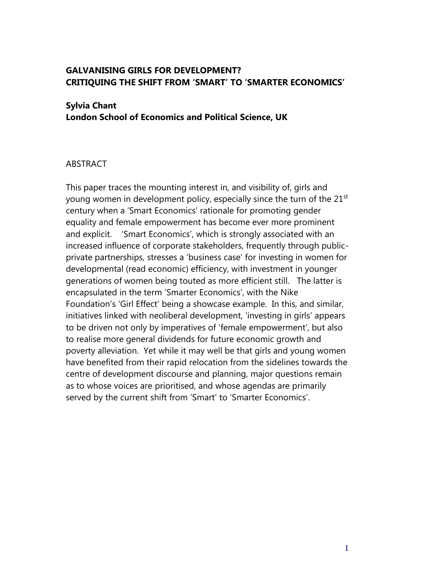#### **GALVANISING GIRLS FOR DEVELOPMENT? CRITIQUING THE SHIFT FROM 'SMART' TO 'SMARTER ECONOMICS'**

#### **Sylvia Chant**

**London School of Economics and Political Science, UK**

#### ABSTRACT

This paper traces the mounting interest in, and visibility of, girls and young women in development policy, especially since the turn of the 21<sup>st</sup> century when a 'Smart Economics' rationale for promoting gender equality and female empowerment has become ever more prominent and explicit. 'Smart Economics', which is strongly associated with an increased influence of corporate stakeholders, frequently through publicprivate partnerships, stresses a 'business case' for investing in women for developmental (read economic) efficiency, with investment in younger generations of women being touted as more efficient still. The latter is encapsulated in the term 'Smarter Economics', with the Nike Foundation's 'Girl Effect' being a showcase example. In this, and similar, initiatives linked with neoliberal development, 'investing in girls' appears to be driven not only by imperatives of 'female empowerment', but also to realise more general dividends for future economic growth and poverty alleviation. Yet while it may well be that girls and young women have benefited from their rapid relocation from the sidelines towards the centre of development discourse and planning, major questions remain as to whose voices are prioritised, and whose agendas are primarily served by the current shift from 'Smart' to 'Smarter Economics'.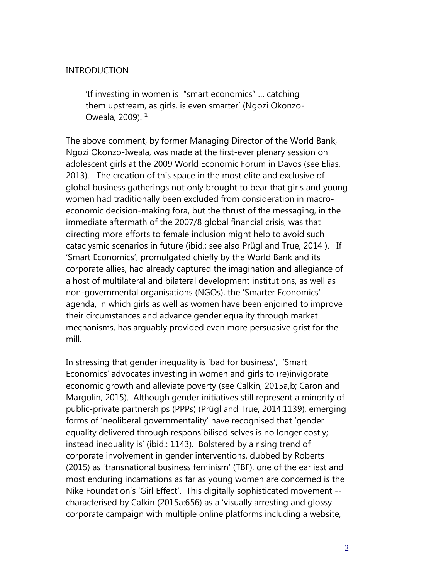#### INTRODUCTION

'If investing in women is "smart economics" … catching them upstream, as girls, is even smarter' (Ngozi Okonzo-Oweala, 2009). **<sup>1</sup>**

The above comment, by former Managing Director of the World Bank, Ngozi Okonzo-Iweala, was made at the first-ever plenary session on adolescent girls at the 2009 World Economic Forum in Davos (see Elias, 2013). The creation of this space in the most elite and exclusive of global business gatherings not only brought to bear that girls and young women had traditionally been excluded from consideration in macroeconomic decision-making fora, but the thrust of the messaging, in the immediate aftermath of the 2007/8 global financial crisis, was that directing more efforts to female inclusion might help to avoid such cataclysmic scenarios in future (ibid.; see also Prügl and True, 2014 ). If 'Smart Economics', promulgated chiefly by the World Bank and its corporate allies, had already captured the imagination and allegiance of a host of multilateral and bilateral development institutions, as well as non-governmental organisations (NGOs), the 'Smarter Economics' agenda, in which girls as well as women have been enjoined to improve their circumstances and advance gender equality through market mechanisms, has arguably provided even more persuasive grist for the mill.

In stressing that gender inequality is 'bad for business', 'Smart Economics' advocates investing in women and girls to (re)invigorate economic growth and alleviate poverty (see Calkin, 2015a,b; Caron and Margolin, 2015). Although gender initiatives still represent a minority of public-private partnerships (PPPs) (Prügl and True, 2014:1139), emerging forms of 'neoliberal governmentality' have recognised that 'gender equality delivered through responsibilised selves is no longer costly; instead inequality is' (ibid.: 1143). Bolstered by a rising trend of corporate involvement in gender interventions, dubbed by Roberts (2015) as 'transnational business feminism' (TBF), one of the earliest and most enduring incarnations as far as young women are concerned is the Nike Foundation's 'Girl Effect'. This digitally sophisticated movement - characterised by Calkin (2015a:656) as a 'visually arresting and glossy corporate campaign with multiple online platforms including a website,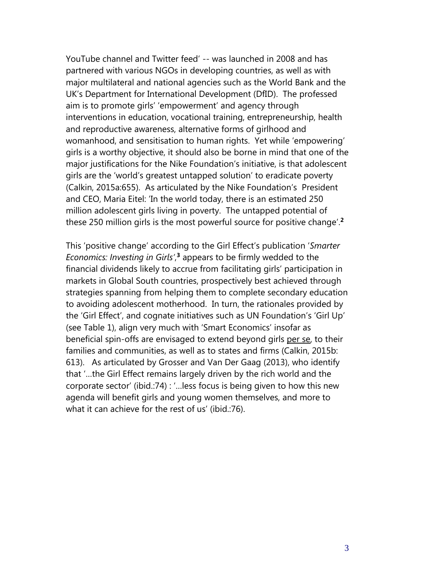YouTube channel and Twitter feed' -- was launched in 2008 and has partnered with various NGOs in developing countries, as well as with major multilateral and national agencies such as the World Bank and the UK's Department for International Development (DfID). The professed aim is to promote girls' 'empowerment' and agency through interventions in education, vocational training, entrepreneurship, health and reproductive awareness, alternative forms of girlhood and womanhood, and sensitisation to human rights. Yet while 'empowering' girls is a worthy objective, it should also be borne in mind that one of the major justifications for the Nike Foundation's initiative, is that adolescent girls are the 'world's greatest untapped solution' to eradicate poverty (Calkin, 2015a:655). As articulated by the Nike Foundation's President and CEO, Maria Eitel: 'In the world today, there is an estimated 250 million adolescent girls living in poverty. The untapped potential of these 250 million girls is the most powerful source for positive change'. **2**

This 'positive change' according to the Girl Effect's publication '*Smarter Economics: Investing in Girls'*, **<sup>3</sup>** appears to be firmly wedded to the financial dividends likely to accrue from facilitating girls' participation in markets in Global South countries, prospectively best achieved through strategies spanning from helping them to complete secondary education to avoiding adolescent motherhood. In turn, the rationales provided by the 'Girl Effect', and cognate initiatives such as UN Foundation's 'Girl Up' (see Table 1), align very much with 'Smart Economics' insofar as beneficial spin-offs are envisaged to extend beyond girls per se, to their families and communities, as well as to states and firms (Calkin, 2015b: 613). As articulated by Grosser and Van Der Gaag (2013), who identify that '…the Girl Effect remains largely driven by the rich world and the corporate sector' (ibid.:74) : '…less focus is being given to how this new agenda will benefit girls and young women themselves, and more to what it can achieve for the rest of us' (ibid.:76).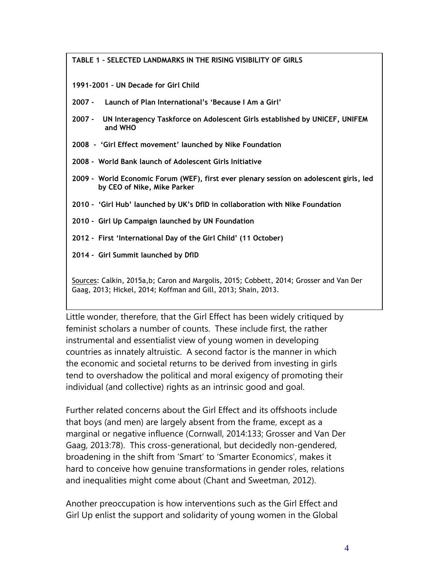**TABLE 1 – SELECTED LANDMARKS IN THE RISING VISIBILITY OF GIRLS**

**1991-2001 – UN Decade for Girl Child**

- **2007 Launch of Plan International's 'Because I Am a Girl'**
- **2007 UN Interagency Taskforce on Adolescent Girls established by UNICEF, UNIFEM and WHO**

**2008 - 'Girl Effect movement' launched by Nike Foundation** 

- **2008 - World Bank launch of Adolescent Girls Initiative**
- **2009 - World Economic Forum (WEF), first ever plenary session on adolescent girls, led by CEO of Nike, Mike Parker**
- **2010 'Girl Hub' launched by UK's DfID in collaboration with Nike Foundation**
- **2010 Girl Up Campaign launched by UN Foundation**
- **2012 First 'International Day of the Girl Child' (11 October)**
- **2014 Girl Summit launched by DfID**

Sources: Calkin, 2015a,b; Caron and Margolis, 2015; Cobbett, 2014; Grosser and Van Der Gaag, 2013; Hickel, 2014; Koffman and Gill, 2013; Shain, 2013.

Little wonder, therefore, that the Girl Effect has been widely critiqued by feminist scholars a number of counts. These include first, the rather instrumental and essentialist view of young women in developing countries as innately altruistic. A second factor is the manner in which the economic and societal returns to be derived from investing in girls tend to overshadow the political and moral exigency of promoting their individual (and collective) rights as an intrinsic good and goal.

Further related concerns about the Girl Effect and its offshoots include that boys (and men) are largely absent from the frame, except as a marginal or negative influence (Cornwall, 2014:133; Grosser and Van Der Gaag, 2013:78). This cross-generational, but decidedly non-gendered, broadening in the shift from 'Smart' to 'Smarter Economics', makes it hard to conceive how genuine transformations in gender roles, relations and inequalities might come about (Chant and Sweetman, 2012).

Another preoccupation is how interventions such as the Girl Effect and Girl Up enlist the support and solidarity of young women in the Global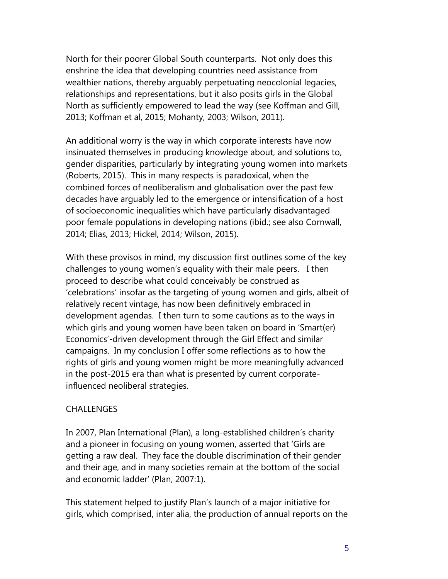North for their poorer Global South counterparts. Not only does this enshrine the idea that developing countries need assistance from wealthier nations, thereby arguably perpetuating neocolonial legacies, relationships and representations, but it also posits girls in the Global North as sufficiently empowered to lead the way (see Koffman and Gill, 2013; Koffman et al, 2015; Mohanty, 2003; Wilson, 2011).

An additional worry is the way in which corporate interests have now insinuated themselves in producing knowledge about, and solutions to, gender disparities, particularly by integrating young women into markets (Roberts, 2015). This in many respects is paradoxical, when the combined forces of neoliberalism and globalisation over the past few decades have arguably led to the emergence or intensification of a host of socioeconomic inequalities which have particularly disadvantaged poor female populations in developing nations (ibid.; see also Cornwall, 2014; Elias, 2013; Hickel, 2014; Wilson, 2015).

With these provisos in mind, my discussion first outlines some of the key challenges to young women's equality with their male peers. I then proceed to describe what could conceivably be construed as 'celebrations' insofar as the targeting of young women and girls, albeit of relatively recent vintage, has now been definitively embraced in development agendas. I then turn to some cautions as to the ways in which girls and young women have been taken on board in 'Smart(er) Economics'-driven development through the Girl Effect and similar campaigns. In my conclusion I offer some reflections as to how the rights of girls and young women might be more meaningfully advanced in the post-2015 era than what is presented by current corporateinfluenced neoliberal strategies.

#### CHALLENGES

In 2007, Plan International (Plan), a long-established children's charity and a pioneer in focusing on young women, asserted that 'Girls are getting a raw deal. They face the double discrimination of their gender and their age, and in many societies remain at the bottom of the social and economic ladder' (Plan, 2007:1).

This statement helped to justify Plan's launch of a major initiative for girls, which comprised, inter alia, the production of annual reports on the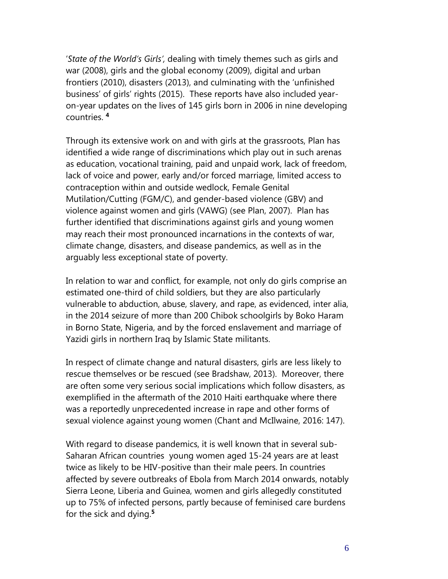'*State of the World's Girls',* dealing with timely themes such as girls and war (2008), girls and the global economy (2009), digital and urban frontiers (2010), disasters (2013), and culminating with the 'unfinished business' of girls' rights (2015). These reports have also included yearon-year updates on the lives of 145 girls born in 2006 in nine developing countries. **4**

Through its extensive work on and with girls at the grassroots, Plan has identified a wide range of discriminations which play out in such arenas as education, vocational training, paid and unpaid work, lack of freedom, lack of voice and power, early and/or forced marriage, limited access to contraception within and outside wedlock, Female Genital Mutilation/Cutting (FGM/C), and gender-based violence (GBV) and violence against women and girls (VAWG) (see Plan, 2007). Plan has further identified that discriminations against girls and young women may reach their most pronounced incarnations in the contexts of war, climate change, disasters, and disease pandemics, as well as in the arguably less exceptional state of poverty.

In relation to war and conflict, for example, not only do girls comprise an estimated one-third of child soldiers, but they are also particularly vulnerable to abduction, abuse, slavery, and rape, as evidenced, inter alia, in the 2014 seizure of more than 200 Chibok schoolgirls by Boko Haram in Borno State, Nigeria, and by the forced enslavement and marriage of Yazidi girls in northern Iraq by Islamic State militants.

In respect of climate change and natural disasters, girls are less likely to rescue themselves or be rescued (see Bradshaw, 2013). Moreover, there are often some very serious social implications which follow disasters, as exemplified in the aftermath of the 2010 Haiti earthquake where there was a reportedly unprecedented increase in rape and other forms of sexual violence against young women (Chant and McIlwaine, 2016: 147).

With regard to disease pandemics, it is well known that in several sub-Saharan African countries young women aged 15-24 years are at least twice as likely to be HIV-positive than their male peers. In countries affected by severe outbreaks of Ebola from March 2014 onwards, notably Sierra Leone, Liberia and Guinea, women and girls allegedly constituted up to 75% of infected persons, partly because of feminised care burdens for the sick and dying.**<sup>5</sup>**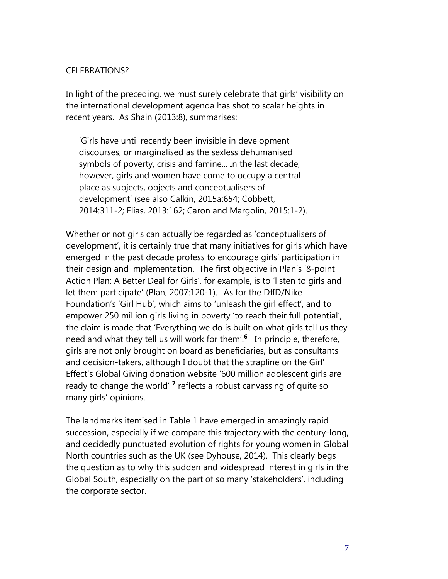#### CELEBRATIONS?

In light of the preceding, we must surely celebrate that girls' visibility on the international development agenda has shot to scalar heights in recent years. As Shain (2013:8), summarises:

'Girls have until recently been invisible in development discourses, or marginalised as the sexless dehumanised symbols of poverty, crisis and famine... In the last decade, however, girls and women have come to occupy a central place as subjects, objects and conceptualisers of development' (see also Calkin, 2015a:654; Cobbett, 2014:311-2; Elias, 2013:162; Caron and Margolin, 2015:1-2).

Whether or not girls can actually be regarded as 'conceptualisers of development', it is certainly true that many initiatives for girls which have emerged in the past decade profess to encourage girls' participation in their design and implementation. The first objective in Plan's '8-point Action Plan: A Better Deal for Girls', for example, is to 'listen to girls and let them participate' (Plan, 2007:120-1). As for the DfID/Nike Foundation's 'Girl Hub', which aims to 'unleash the girl effect', and to empower 250 million girls living in poverty 'to reach their full potential', the claim is made that 'Everything we do is built on what girls tell us they need and what they tell us will work for them'.**<sup>6</sup>** In principle, therefore, girls are not only brought on board as beneficiaries, but as consultants and decision-takers, although I doubt that the strapline on the Girl' Effect's Global Giving donation website '600 million adolescent girls are ready to change the world'<sup>7</sup> reflects a robust canvassing of quite so many girls' opinions.

The landmarks itemised in Table 1 have emerged in amazingly rapid succession, especially if we compare this trajectory with the century-long, and decidedly punctuated evolution of rights for young women in Global North countries such as the UK (see Dyhouse, 2014). This clearly begs the question as to why this sudden and widespread interest in girls in the Global South, especially on the part of so many 'stakeholders', including the corporate sector.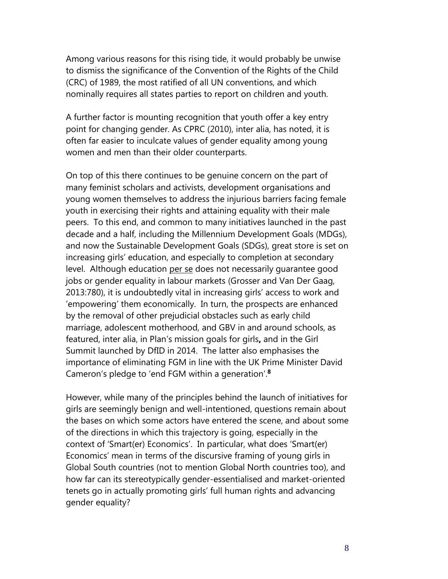Among various reasons for this rising tide, it would probably be unwise to dismiss the significance of the Convention of the Rights of the Child (CRC) of 1989, the most ratified of all UN conventions, and which nominally requires all states parties to report on children and youth.

A further factor is mounting recognition that youth offer a key entry point for changing gender. As CPRC (2010), inter alia, has noted, it is often far easier to inculcate values of gender equality among young women and men than their older counterparts.

On top of this there continues to be genuine concern on the part of many feminist scholars and activists, development organisations and young women themselves to address the injurious barriers facing female youth in exercising their rights and attaining equality with their male peers. To this end, and common to many initiatives launched in the past decade and a half, including the Millennium Development Goals (MDGs), and now the Sustainable Development Goals (SDGs), great store is set on increasing girls' education, and especially to completion at secondary level. Although education per se does not necessarily quarantee good jobs or gender equality in labour markets (Grosser and Van Der Gaag, 2013:780), it is undoubtedly vital in increasing girls' access to work and 'empowering' them economically. In turn, the prospects are enhanced by the removal of other prejudicial obstacles such as early child marriage, adolescent motherhood, and GBV in and around schools, as featured, inter alia, in Plan's mission goals for girls**,** and in the Girl Summit launched by DfID in 2014. The latter also emphasises the importance of eliminating FGM in line with the UK Prime Minister David Cameron's pledge to 'end FGM within a generation'.**<sup>8</sup>**

However, while many of the principles behind the launch of initiatives for girls are seemingly benign and well-intentioned, questions remain about the bases on which some actors have entered the scene, and about some of the directions in which this trajectory is going, especially in the context of 'Smart(er) Economics'. In particular, what does 'Smart(er) Economics' mean in terms of the discursive framing of young girls in Global South countries (not to mention Global North countries too), and how far can its stereotypically gender-essentialised and market-oriented tenets go in actually promoting girls' full human rights and advancing gender equality?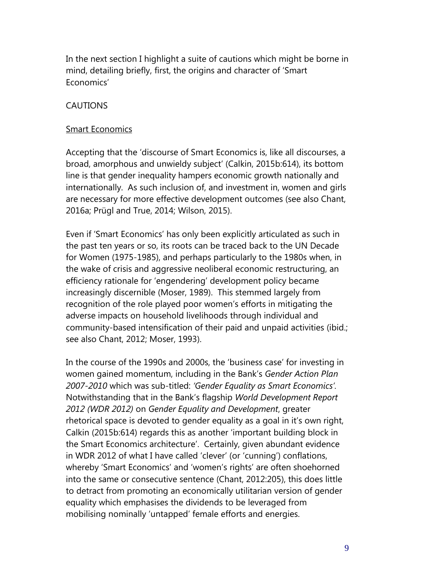In the next section I highlight a suite of cautions which might be borne in mind, detailing briefly, first, the origins and character of 'Smart Economics'

#### CAUTIONS

#### Smart Economics

Accepting that the 'discourse of Smart Economics is, like all discourses, a broad, amorphous and unwieldy subject' (Calkin, 2015b:614), its bottom line is that gender inequality hampers economic growth nationally and internationally. As such inclusion of, and investment in, women and girls are necessary for more effective development outcomes (see also Chant, 2016a; Prügl and True, 2014; Wilson, 2015).

Even if 'Smart Economics' has only been explicitly articulated as such in the past ten years or so, its roots can be traced back to the UN Decade for Women (1975-1985), and perhaps particularly to the 1980s when, in the wake of crisis and aggressive neoliberal economic restructuring, an efficiency rationale for 'engendering' development policy became increasingly discernible (Moser, 1989). This stemmed largely from recognition of the role played poor women's efforts in mitigating the adverse impacts on household livelihoods through individual and community-based intensification of their paid and unpaid activities (ibid.; see also Chant, 2012; Moser, 1993).

In the course of the 1990s and 2000s, the 'business case' for investing in women gained momentum, including in the Bank's *Gender Action Plan 2007-2010* which was sub-titled: *'Gender Equality as Smart Economics'.*  Notwithstanding that in the Bank's flagship *World Development Report 2012 (WDR 2012)* on *Gender Equality and Development*, greater rhetorical space is devoted to gender equality as a goal in it's own right, Calkin (2015b:614) regards this as another 'important building block in the Smart Economics architecture'. Certainly, given abundant evidence in WDR 2012 of what I have called 'clever' (or 'cunning') conflations, whereby 'Smart Economics' and 'women's rights' are often shoehorned into the same or consecutive sentence (Chant, 2012:205), this does little to detract from promoting an economically utilitarian version of gender equality which emphasises the dividends to be leveraged from mobilising nominally 'untapped' female efforts and energies.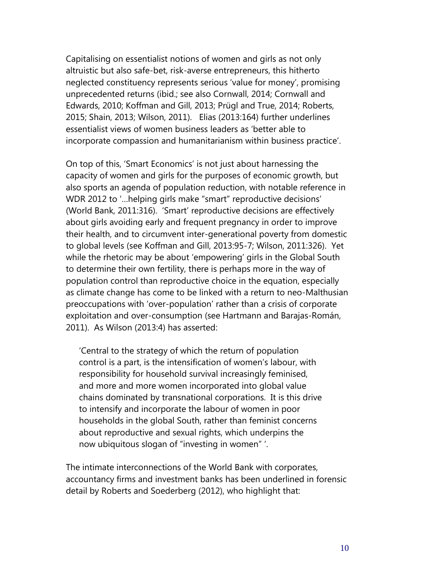Capitalising on essentialist notions of women and girls as not only altruistic but also safe-bet, risk-averse entrepreneurs, this hitherto neglected constituency represents serious 'value for money', promising unprecedented returns (ibid.; see also Cornwall, 2014; Cornwall and Edwards, 2010; Koffman and Gill, 2013; Prügl and True, 2014; Roberts, 2015; Shain, 2013; Wilson, 2011). Elias (2013:164) further underlines essentialist views of women business leaders as 'better able to incorporate compassion and humanitarianism within business practice'.

On top of this, 'Smart Economics' is not just about harnessing the capacity of women and girls for the purposes of economic growth, but also sports an agenda of population reduction, with notable reference in WDR 2012 to '…helping girls make "smart" reproductive decisions' (World Bank, 2011:316). 'Smart' reproductive decisions are effectively about girls avoiding early and frequent pregnancy in order to improve their health, and to circumvent inter-generational poverty from domestic to global levels (see Koffman and Gill, 2013:95-7; Wilson, 2011:326). Yet while the rhetoric may be about 'empowering' girls in the Global South to determine their own fertility, there is perhaps more in the way of population control than reproductive choice in the equation, especially as climate change has come to be linked with a return to neo-Malthusian preoccupations with 'over-population' rather than a crisis of corporate exploitation and over-consumption (see Hartmann and Barajas-Román, 2011). As Wilson (2013:4) has asserted:

'Central to the strategy of which the return of population control is a part, is the intensification of women's labour, with responsibility for household survival increasingly feminised, and more and more women incorporated into global value chains dominated by transnational corporations. It is this drive to intensify and incorporate the labour of women in poor households in the global South, rather than feminist concerns about reproductive and sexual rights, which underpins the now ubiquitous slogan of "investing in women" '.

The intimate interconnections of the World Bank with corporates, accountancy firms and investment banks has been underlined in forensic detail by Roberts and Soederberg (2012), who highlight that: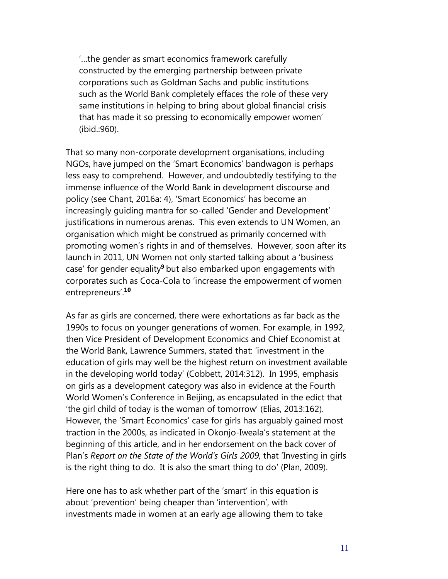'…the gender as smart economics framework carefully constructed by the emerging partnership between private corporations such as Goldman Sachs and public institutions such as the World Bank completely effaces the role of these very same institutions in helping to bring about global financial crisis that has made it so pressing to economically empower women' (ibid.:960).

That so many non-corporate development organisations, including NGOs, have jumped on the 'Smart Economics' bandwagon is perhaps less easy to comprehend. However, and undoubtedly testifying to the immense influence of the World Bank in development discourse and policy (see Chant, 2016a: 4), 'Smart Economics' has become an increasingly guiding mantra for so-called 'Gender and Development' justifications in numerous arenas. This even extends to UN Women, an organisation which might be construed as primarily concerned with promoting women's rights in and of themselves. However, soon after its launch in 2011, UN Women not only started talking about a 'business case' for gender equality**<sup>9</sup>**but also embarked upon engagements with corporates such as Coca-Cola to 'increase the empowerment of women entrepreneurs'.**<sup>10</sup>**

As far as girls are concerned, there were exhortations as far back as the 1990s to focus on younger generations of women. For example, in 1992, then Vice President of Development Economics and Chief Economist at the World Bank, Lawrence Summers, stated that: 'investment in the education of girls may well be the highest return on investment available in the developing world today' (Cobbett, 2014:312). In 1995, emphasis on girls as a development category was also in evidence at the Fourth World Women's Conference in Beijing, as encapsulated in the edict that 'the girl child of today is the woman of tomorrow' (Elias, 2013:162). However, the 'Smart Economics' case for girls has arguably gained most traction in the 2000s, as indicated in Okonjo-Iweala's statement at the beginning of this article, and in her endorsement on the back cover of Plan's *Report on the State of the World's Girls 2009,* that 'Investing in girls is the right thing to do. It is also the smart thing to do' (Plan, 2009).

Here one has to ask whether part of the 'smart' in this equation is about 'prevention' being cheaper than 'intervention', with investments made in women at an early age allowing them to take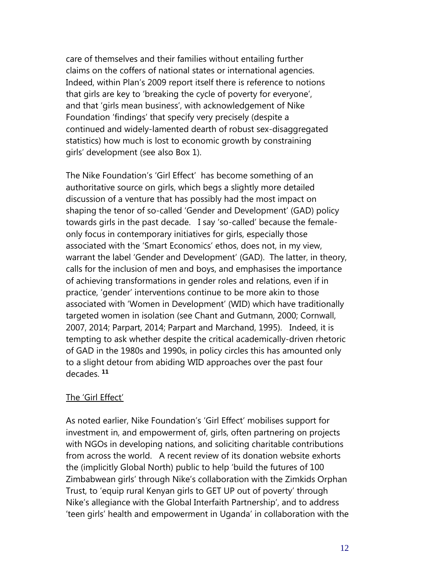care of themselves and their families without entailing further claims on the coffers of national states or international agencies. Indeed, within Plan's 2009 report itself there is reference to notions that girls are key to 'breaking the cycle of poverty for everyone', and that 'girls mean business', with acknowledgement of Nike Foundation 'findings' that specify very precisely (despite a continued and widely-lamented dearth of robust sex-disaggregated statistics) how much is lost to economic growth by constraining girls' development (see also Box 1).

The Nike Foundation's 'Girl Effect' has become something of an authoritative source on girls, which begs a slightly more detailed discussion of a venture that has possibly had the most impact on shaping the tenor of so-called 'Gender and Development' (GAD) policy towards girls in the past decade. I say 'so-called' because the femaleonly focus in contemporary initiatives for girls, especially those associated with the 'Smart Economics' ethos, does not, in my view, warrant the label 'Gender and Development' (GAD). The latter, in theory, calls for the inclusion of men and boys, and emphasises the importance of achieving transformations in gender roles and relations, even if in practice, 'gender' interventions continue to be more akin to those associated with 'Women in Development' (WID) which have traditionally targeted women in isolation (see Chant and Gutmann, 2000; Cornwall, 2007, 2014; Parpart, 2014; Parpart and Marchand, 1995). Indeed, it is tempting to ask whether despite the critical academically-driven rhetoric of GAD in the 1980s and 1990s, in policy circles this has amounted only to a slight detour from abiding WID approaches over the past four decades. **<sup>11</sup>**

#### The 'Girl Effect'

As noted earlier, Nike Foundation's 'Girl Effect' mobilises support for investment in, and empowerment of, girls, often partnering on projects with NGOs in developing nations, and soliciting charitable contributions from across the world. A recent review of its donation website exhorts the (implicitly Global North) public to help 'build the futures of 100 Zimbabwean girls' through Nike's collaboration with the Zimkids Orphan Trust, to 'equip rural Kenyan girls to GET UP out of poverty' through Nike's allegiance with the Global Interfaith Partnership', and to address 'teen girls' health and empowerment in Uganda' in collaboration with the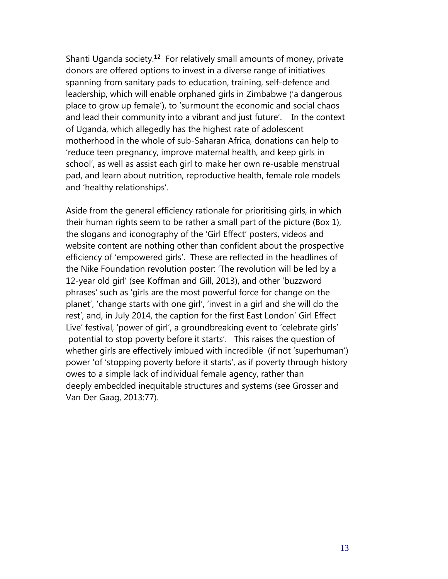Shanti Uganda society.**<sup>12</sup>** For relatively small amounts of money, private donors are offered options to invest in a diverse range of initiatives spanning from sanitary pads to education, training, self-defence and leadership, which will enable orphaned girls in Zimbabwe ('a dangerous place to grow up female'), to 'surmount the economic and social chaos and lead their community into a vibrant and just future'. In the context of Uganda, which allegedly has the highest rate of adolescent motherhood in the whole of sub-Saharan Africa, donations can help to 'reduce teen pregnancy, improve maternal health, and keep girls in school', as well as assist each girl to make her own re-usable menstrual pad, and learn about nutrition, reproductive health, female role models and 'healthy relationships'.

Aside from the general efficiency rationale for prioritising girls, in which their human rights seem to be rather a small part of the picture (Box 1), the slogans and iconography of the 'Girl Effect' posters, videos and website content are nothing other than confident about the prospective efficiency of 'empowered girls'. These are reflected in the headlines of the Nike Foundation revolution poster: 'The revolution will be led by a 12-year old girl' (see Koffman and Gill, 2013), and other 'buzzword phrases' such as 'girls are the most powerful force for change on the planet', 'change starts with one girl', 'invest in a girl and she will do the rest', and, in July 2014, the caption for the first East London' Girl Effect Live' festival, 'power of girl', a groundbreaking event to 'celebrate girls' potential to stop poverty before it starts'. This raises the question of whether girls are effectively imbued with incredible (if not 'superhuman') power 'of 'stopping poverty before it starts', as if poverty through history owes to a simple lack of individual female agency, rather than deeply embedded inequitable structures and systems (see Grosser and Van Der Gaag, 2013:77).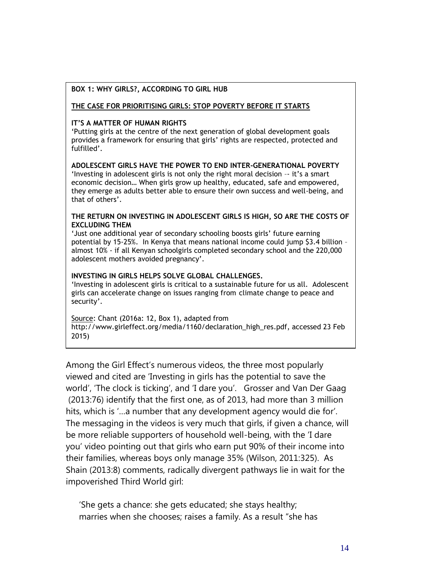#### **BOX 1: WHY GIRLS?, ACCORDING TO GIRL HUB**

#### **THE CASE FOR PRIORITISING GIRLS: STOP POVERTY BEFORE IT STARTS**

#### **IT'S A MATTER OF HUMAN RIGHTS**

'Putting girls at the centre of the next generation of global development goals provides a framework for ensuring that girls' rights are respected, protected and fulfilled'.

**ADOLESCENT GIRLS HAVE THE POWER TO END INTER-GENERATIONAL POVERTY** 'Investing in adolescent girls is not only the right moral decision –- it's a smart economic decision… When girls grow up healthy, educated, safe and empowered, they emerge as adults better able to ensure their own success and well-being, and that of others'.

#### **THE RETURN ON INVESTING IN ADOLESCENT GIRLS IS HIGH, SO ARE THE COSTS OF EXCLUDING THEM**

'Just one additional year of secondary schooling boosts girls' future earning potential by 15-25%. In Kenya that means national income could jump \$3.4 billion – almost 10% - if all Kenyan schoolgirls completed secondary school and the 220,000 adolescent mothers avoided pregnancy'.

#### **INVESTING IN GIRLS HELPS SOLVE GLOBAL CHALLENGES.**

'Investing in adolescent girls is critical to a sustainable future for us all. Adolescent girls can accelerate change on issues ranging from climate change to peace and security'.

Source: Chant (2016a: 12, Box 1), adapted from http://www.girleffect.org/media/1160/declaration\_high\_res.pdf, accessed 23 Feb 2015)

Among the Girl Effect's numerous videos, the three most popularly viewed and cited are 'Investing in girls has the potential to save the world', 'The clock is ticking', and 'I dare you'. Grosser and Van Der Gaag (2013:76) identify that the first one, as of 2013, had more than 3 million hits, which is '…a number that any development agency would die for'. The messaging in the videos is very much that girls, if given a chance, will be more reliable supporters of household well-being, with the 'I dare you' video pointing out that girls who earn put 90% of their income into their families, whereas boys only manage 35% (Wilson, 2011:325). As Shain (2013:8) comments, radically divergent pathways lie in wait for the impoverished Third World girl:

'She gets a chance: she gets educated; she stays healthy; marries when she chooses; raises a family. As a result "she has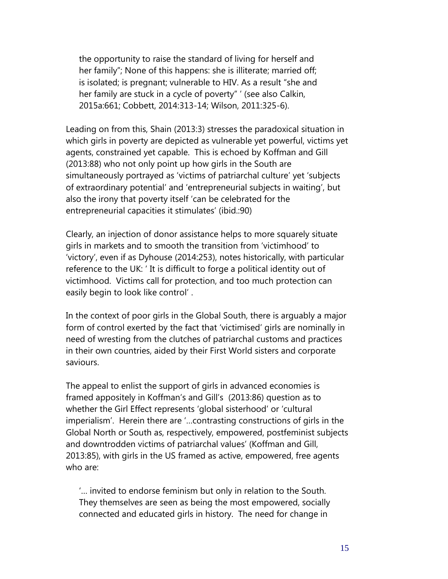the opportunity to raise the standard of living for herself and her family"; None of this happens: she is illiterate; married off; is isolated; is pregnant; vulnerable to HIV. As a result "she and her family are stuck in a cycle of poverty" ' (see also Calkin, 2015a:661; Cobbett, 2014:313-14; Wilson, 2011:325-6).

Leading on from this, Shain (2013:3) stresses the paradoxical situation in which girls in poverty are depicted as vulnerable yet powerful, victims yet agents, constrained yet capable. This is echoed by Koffman and Gill (2013:88) who not only point up how girls in the South are simultaneously portrayed as 'victims of patriarchal culture' yet 'subjects of extraordinary potential' and 'entrepreneurial subjects in waiting', but also the irony that poverty itself 'can be celebrated for the entrepreneurial capacities it stimulates' (ibid.:90)

Clearly, an injection of donor assistance helps to more squarely situate girls in markets and to smooth the transition from 'victimhood' to 'victory', even if as Dyhouse (2014:253), notes historically, with particular reference to the UK: ' It is difficult to forge a political identity out of victimhood. Victims call for protection, and too much protection can easily begin to look like control' .

In the context of poor girls in the Global South, there is arguably a major form of control exerted by the fact that 'victimised' girls are nominally in need of wresting from the clutches of patriarchal customs and practices in their own countries, aided by their First World sisters and corporate saviours.

The appeal to enlist the support of girls in advanced economies is framed appositely in Koffman's and Gill's (2013:86) question as to whether the Girl Effect represents 'global sisterhood' or 'cultural imperialism'. Herein there are '…contrasting constructions of girls in the Global North or South as, respectively, empowered, postfeminist subjects and downtrodden victims of patriarchal values' (Koffman and Gill, 2013:85), with girls in the US framed as active, empowered, free agents who are:

'… invited to endorse feminism but only in relation to the South. They themselves are seen as being the most empowered, socially connected and educated girls in history. The need for change in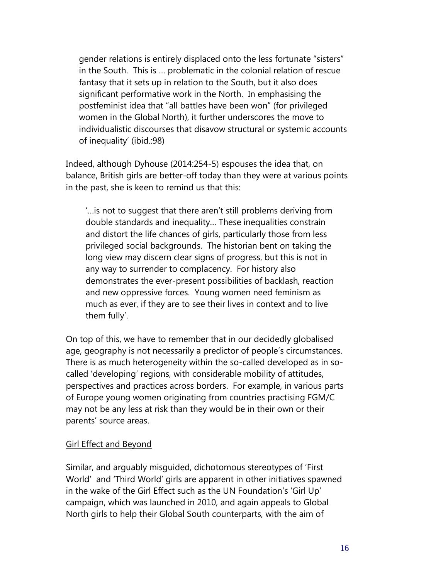gender relations is entirely displaced onto the less fortunate "sisters" in the South. This is … problematic in the colonial relation of rescue fantasy that it sets up in relation to the South, but it also does significant performative work in the North. In emphasising the postfeminist idea that "all battles have been won" (for privileged women in the Global North), it further underscores the move to individualistic discourses that disavow structural or systemic accounts of inequality' (ibid.:98)

Indeed, although Dyhouse (2014:254-5) espouses the idea that, on balance, British girls are better-off today than they were at various points in the past, she is keen to remind us that this:

'…is not to suggest that there aren't still problems deriving from double standards and inequality… These inequalities constrain and distort the life chances of girls, particularly those from less privileged social backgrounds. The historian bent on taking the long view may discern clear signs of progress, but this is not in any way to surrender to complacency. For history also demonstrates the ever-present possibilities of backlash, reaction and new oppressive forces. Young women need feminism as much as ever, if they are to see their lives in context and to live them fully'.

On top of this, we have to remember that in our decidedly globalised age, geography is not necessarily a predictor of people's circumstances. There is as much heterogeneity within the so-called developed as in socalled 'developing' regions, with considerable mobility of attitudes, perspectives and practices across borders. For example, in various parts of Europe young women originating from countries practising FGM/C may not be any less at risk than they would be in their own or their parents' source areas.

#### Girl Effect and Beyond

Similar, and arguably misguided, dichotomous stereotypes of 'First World' and 'Third World' girls are apparent in other initiatives spawned in the wake of the Girl Effect such as the UN Foundation's 'Girl Up' campaign, which was launched in 2010, and again appeals to Global North girls to help their Global South counterparts, with the aim of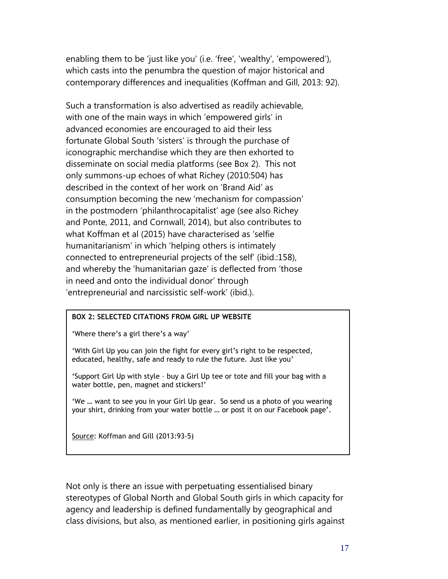enabling them to be 'just like you' (i.e. 'free', 'wealthy', 'empowered'), which casts into the penumbra the question of major historical and contemporary differences and inequalities (Koffman and Gill, 2013: 92).

Such a transformation is also advertised as readily achievable, with one of the main ways in which 'empowered girls' in advanced economies are encouraged to aid their less fortunate Global South 'sisters' is through the purchase of iconographic merchandise which they are then exhorted to disseminate on social media platforms (see Box 2). This not only summons-up echoes of what Richey (2010:504) has described in the context of her work on 'Brand Aid' as consumption becoming the new 'mechanism for compassion' in the postmodern 'philanthrocapitalist' age (see also Richey and Ponte, 2011, and Cornwall, 2014), but also contributes to what Koffman et al (2015) have characterised as 'selfie humanitarianism' in which 'helping others is intimately connected to entrepreneurial projects of the self' (ibid.:158), and whereby the 'humanitarian gaze' is deflected from 'those in need and onto the individual donor' through 'entrepreneurial and narcissistic self-work' (ibid.).

#### **BOX 2: SELECTED CITATIONS FROM GIRL UP WEBSITE**

'Where there's a girl there's a way'

'With Girl Up you can join the fight for every girl's right to be respected, educated, healthy, safe and ready to rule the future. Just like you'

'Support Girl Up with style – buy a Girl Up tee or tote and fill your bag with a water bottle, pen, magnet and stickers!'

'We … want to see you in your Girl Up gear. So send us a photo of you wearing your shirt, drinking from your water bottle … or post it on our Facebook page'.

Source: Koffman and Gill (2013:93-5)

Not only is there an issue with perpetuating essentialised binary stereotypes of Global North and Global South girls in which capacity for agency and leadership is defined fundamentally by geographical and class divisions, but also, as mentioned earlier, in positioning girls against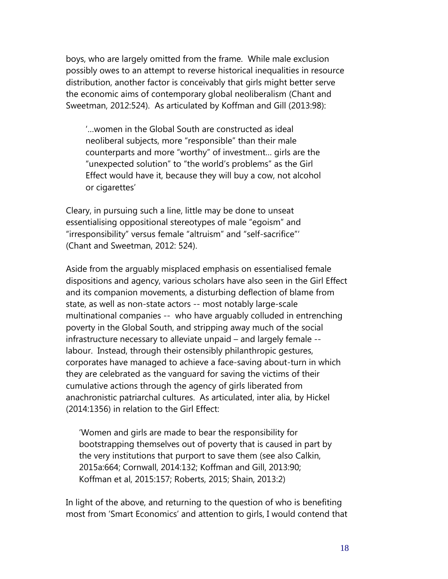boys, who are largely omitted from the frame. While male exclusion possibly owes to an attempt to reverse historical inequalities in resource distribution, another factor is conceivably that girls might better serve the economic aims of contemporary global neoliberalism (Chant and Sweetman, 2012:524). As articulated by Koffman and Gill (2013:98):

'…women in the Global South are constructed as ideal neoliberal subjects, more "responsible" than their male counterparts and more "worthy" of investment… girls are the "unexpected solution" to "the world's problems" as the Girl Effect would have it, because they will buy a cow, not alcohol or cigarettes'

Cleary, in pursuing such a line, little may be done to unseat essentialising oppositional stereotypes of male "egoism" and "irresponsibility" versus female "altruism" and "self-sacrifice"' (Chant and Sweetman, 2012: 524).

Aside from the arguably misplaced emphasis on essentialised female dispositions and agency, various scholars have also seen in the Girl Effect and its companion movements, a disturbing deflection of blame from state, as well as non-state actors -- most notably large-scale multinational companies -- who have arguably colluded in entrenching poverty in the Global South, and stripping away much of the social infrastructure necessary to alleviate unpaid – and largely female - labour. Instead, through their ostensibly philanthropic gestures, corporates have managed to achieve a face-saving about-turn in which they are celebrated as the vanguard for saving the victims of their cumulative actions through the agency of girls liberated from anachronistic patriarchal cultures. As articulated, inter alia, by Hickel (2014:1356) in relation to the Girl Effect:

'Women and girls are made to bear the responsibility for bootstrapping themselves out of poverty that is caused in part by the very institutions that purport to save them (see also Calkin, 2015a:664; Cornwall, 2014:132; Koffman and Gill, 2013:90; Koffman et al, 2015:157; Roberts, 2015; Shain, 2013:2)

In light of the above, and returning to the question of who is benefiting most from 'Smart Economics' and attention to girls, I would contend that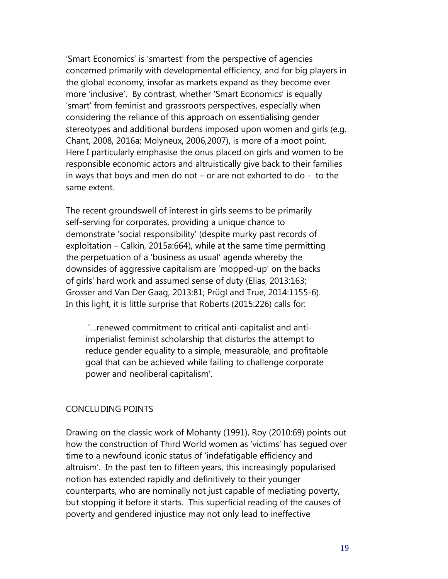'Smart Economics' is 'smartest' from the perspective of agencies concerned primarily with developmental efficiency, and for big players in the global economy, insofar as markets expand as they become ever more 'inclusive'. By contrast, whether 'Smart Economics' is equally 'smart' from feminist and grassroots perspectives, especially when considering the reliance of this approach on essentialising gender stereotypes and additional burdens imposed upon women and girls (e.g. Chant, 2008, 2016a; Molyneux, 2006,2007), is more of a moot point. Here I particularly emphasise the onus placed on girls and women to be responsible economic actors and altruistically give back to their families in ways that boys and men do not – or are not exhorted to do - to the same extent.

The recent groundswell of interest in girls seems to be primarily self-serving for corporates, providing a unique chance to demonstrate 'social responsibility' (despite murky past records of exploitation – Calkin, 2015a:664), while at the same time permitting the perpetuation of a 'business as usual' agenda whereby the downsides of aggressive capitalism are 'mopped-up' on the backs of girls' hard work and assumed sense of duty (Elias, 2013:163; Grosser and Van Der Gaag, 2013:81; Prügl and True, 2014:1155-6). In this light, it is little surprise that Roberts (2015:226) calls for:

'…renewed commitment to critical anti-capitalist and antiimperialist feminist scholarship that disturbs the attempt to reduce gender equality to a simple, measurable, and profitable goal that can be achieved while failing to challenge corporate power and neoliberal capitalism'.

#### CONCLUDING POINTS

Drawing on the classic work of Mohanty (1991), Roy (2010:69) points out how the construction of Third World women as 'victims' has segued over time to a newfound iconic status of 'indefatigable efficiency and altruism'. In the past ten to fifteen years, this increasingly popularised notion has extended rapidly and definitively to their younger counterparts, who are nominally not just capable of mediating poverty, but stopping it before it starts. This superficial reading of the causes of poverty and gendered injustice may not only lead to ineffective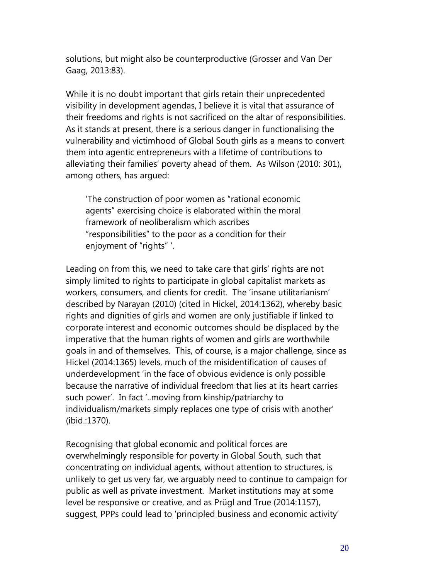solutions, but might also be counterproductive (Grosser and Van Der Gaag, 2013:83).

While it is no doubt important that girls retain their unprecedented visibility in development agendas, I believe it is vital that assurance of their freedoms and rights is not sacrificed on the altar of responsibilities. As it stands at present, there is a serious danger in functionalising the vulnerability and victimhood of Global South girls as a means to convert them into agentic entrepreneurs with a lifetime of contributions to alleviating their families' poverty ahead of them. As Wilson (2010: 301), among others, has argued:

'The construction of poor women as "rational economic agents" exercising choice is elaborated within the moral framework of neoliberalism which ascribes "responsibilities" to the poor as a condition for their enjoyment of "rights" '.

Leading on from this, we need to take care that girls' rights are not simply limited to rights to participate in global capitalist markets as workers, consumers, and clients for credit. The 'insane utilitarianism' described by Narayan (2010) (cited in Hickel, 2014:1362), whereby basic rights and dignities of girls and women are only justifiable if linked to corporate interest and economic outcomes should be displaced by the imperative that the human rights of women and girls are worthwhile goals in and of themselves. This, of course, is a major challenge, since as Hickel (2014:1365) levels, much of the misidentification of causes of underdevelopment 'in the face of obvious evidence is only possible because the narrative of individual freedom that lies at its heart carries such power'. In fact '..moving from kinship/patriarchy to individualism/markets simply replaces one type of crisis with another' (ibid.:1370).

Recognising that global economic and political forces are overwhelmingly responsible for poverty in Global South, such that concentrating on individual agents, without attention to structures, is unlikely to get us very far, we arguably need to continue to campaign for public as well as private investment. Market institutions may at some level be responsive or creative, and as Prügl and True (2014:1157), suggest, PPPs could lead to 'principled business and economic activity'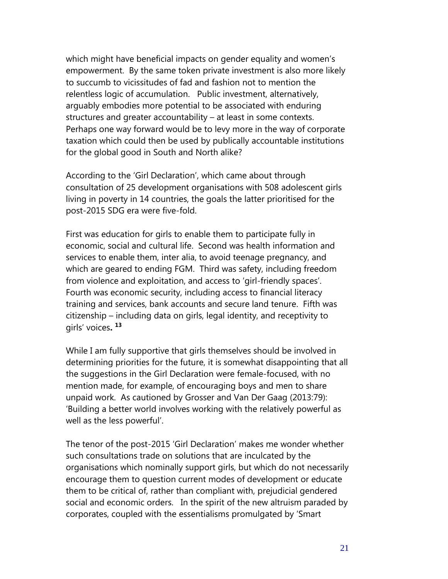which might have beneficial impacts on gender equality and women's empowerment. By the same token private investment is also more likely to succumb to vicissitudes of fad and fashion not to mention the relentless logic of accumulation. Public investment, alternatively, arguably embodies more potential to be associated with enduring structures and greater accountability – at least in some contexts. Perhaps one way forward would be to levy more in the way of corporate taxation which could then be used by publically accountable institutions for the global good in South and North alike?

According to the 'Girl Declaration', which came about through consultation of 25 development organisations with 508 adolescent girls living in poverty in 14 countries, the goals the latter prioritised for the post-2015 SDG era were five-fold.

First was education for girls to enable them to participate fully in economic, social and cultural life. Second was health information and services to enable them, inter alia, to avoid teenage pregnancy, and which are geared to ending FGM. Third was safety, including freedom from violence and exploitation, and access to 'girl-friendly spaces'. Fourth was economic security, including access to financial literacy training and services, bank accounts and secure land tenure. Fifth was citizenship – including data on girls, legal identity, and receptivity to girls' voices**. 13**

While I am fully supportive that girls themselves should be involved in determining priorities for the future, it is somewhat disappointing that all the suggestions in the Girl Declaration were female-focused, with no mention made, for example, of encouraging boys and men to share unpaid work. As cautioned by Grosser and Van Der Gaag (2013:79): 'Building a better world involves working with the relatively powerful as well as the less powerful'.

The tenor of the post-2015 'Girl Declaration' makes me wonder whether such consultations trade on solutions that are inculcated by the organisations which nominally support girls, but which do not necessarily encourage them to question current modes of development or educate them to be critical of, rather than compliant with, prejudicial gendered social and economic orders. In the spirit of the new altruism paraded by corporates, coupled with the essentialisms promulgated by 'Smart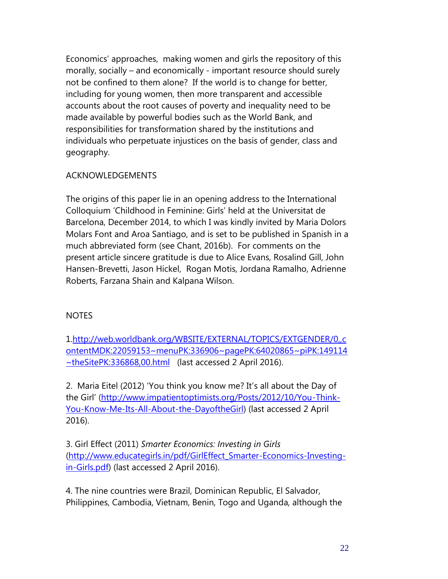Economics' approaches, making women and girls the repository of this morally, socially – and economically - important resource should surely not be confined to them alone? If the world is to change for better, including for young women, then more transparent and accessible accounts about the root causes of poverty and inequality need to be made available by powerful bodies such as the World Bank, and responsibilities for transformation shared by the institutions and individuals who perpetuate injustices on the basis of gender, class and geography.

#### ACKNOWLEDGEMENTS

The origins of this paper lie in an opening address to the International Colloquium 'Childhood in Feminine: Girls' held at the Universitat de Barcelona, December 2014, to which I was kindly invited by Maria Dolors Molars Font and Aroa Santiago, and is set to be published in Spanish in a much abbreviated form (see Chant, 2016b). For comments on the present article sincere gratitude is due to Alice Evans, Rosalind Gill, John Hansen-Brevetti, Jason Hickel, Rogan Motis, Jordana Ramalho, Adrienne Roberts, Farzana Shain and Kalpana Wilson.

#### **NOTES**

1[.http://web.worldbank.org/WBSITE/EXTERNAL/TOPICS/EXTGENDER/0,,c](http://web.worldbank.org/WBSITE/EXTERNAL/TOPICS/EXTGENDER/0,,contentMDK:22059153~menuPK:336906~pagePK:64020865~piPK:149114~theSitePK:336868,00.html) [ontentMDK:22059153~menuPK:336906~pagePK:64020865~piPK:149114](http://web.worldbank.org/WBSITE/EXTERNAL/TOPICS/EXTGENDER/0,,contentMDK:22059153~menuPK:336906~pagePK:64020865~piPK:149114~theSitePK:336868,00.html) [~theSitePK:336868,00.html](http://web.worldbank.org/WBSITE/EXTERNAL/TOPICS/EXTGENDER/0,,contentMDK:22059153~menuPK:336906~pagePK:64020865~piPK:149114~theSitePK:336868,00.html) (last accessed 2 April 2016).

2. Maria Eitel (2012) 'You think you know me? It's all about the Day of the Girl' [\(http://www.impatientoptimists.org/Posts/2012/10/You-Think-](http://www.impatientoptimists.org/Posts/2012/10/You-Think-You-Know-Me-Its-All-About-the-DayoftheGirl)[You-Know-Me-Its-All-About-the-DayoftheGirl\)](http://www.impatientoptimists.org/Posts/2012/10/You-Think-You-Know-Me-Its-All-About-the-DayoftheGirl) (last accessed 2 April 2016).

3. Girl Effect (2011) *Smarter Economics: Investing in Girls* [\(http://www.educategirls.in/pdf/GirlEffect\\_Smarter-Economics-Investing](http://www.educategirls.in/pdf/GirlEffect_Smarter-Economics-Investing-in-Girls.pdf)[in-Girls.pdf\)](http://www.educategirls.in/pdf/GirlEffect_Smarter-Economics-Investing-in-Girls.pdf) (last accessed 2 April 2016).

4. The nine countries were Brazil, Dominican Republic, El Salvador, Philippines, Cambodia, Vietnam, Benin, Togo and Uganda, although the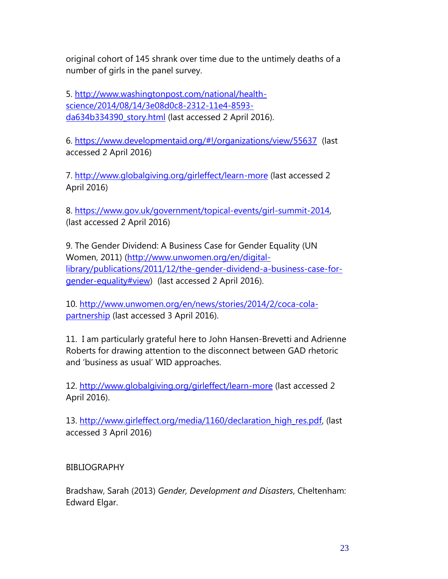original cohort of 145 shrank over time due to the untimely deaths of a number of girls in the panel survey.

5. [http://www.washingtonpost.com/national/health](http://www.washingtonpost.com/national/health-science/2014/08/14/3e08d0c8-2312-11e4-8593-da634b334390_story.html)[science/2014/08/14/3e08d0c8-2312-11e4-8593](http://www.washingtonpost.com/national/health-science/2014/08/14/3e08d0c8-2312-11e4-8593-da634b334390_story.html) [da634b334390\\_story.html](http://www.washingtonpost.com/national/health-science/2014/08/14/3e08d0c8-2312-11e4-8593-da634b334390_story.html) (last accessed 2 April 2016).

6. <https://www.developmentaid.org/#!/organizations/view/55637> (last accessed 2 April 2016)

7.<http://www.globalgiving.org/girleffect/learn-more> (last accessed 2 April 2016)

8. [https://www.gov.uk/government/topical-events/girl-summit-2014,](https://www.gov.uk/government/topical-events/girl-summit-2014) (last accessed 2 April 2016)

9. The Gender Dividend: A Business Case for Gender Equality (UN Women, 2011) [\(http://www.unwomen.org/en/digital](http://www.unwomen.org/en/digital-library/publications/2011/12/the-gender-dividend-a-business-case-for-gender-equality#view)[library/publications/2011/12/the-gender-dividend-a-business-case-for](http://www.unwomen.org/en/digital-library/publications/2011/12/the-gender-dividend-a-business-case-for-gender-equality#view)[gender-equality#view\)](http://www.unwomen.org/en/digital-library/publications/2011/12/the-gender-dividend-a-business-case-for-gender-equality#view) (last accessed 2 April 2016).

10. [http://www.unwomen.org/en/news/stories/2014/2/coca-cola](http://www.unwomen.org/en/news/stories/2014/2/coca-cola-partnership)[partnership](http://www.unwomen.org/en/news/stories/2014/2/coca-cola-partnership) (last accessed 3 April 2016).

11. I am particularly grateful here to John Hansen-Brevetti and Adrienne Roberts for drawing attention to the disconnect between GAD rhetoric and 'business as usual' WID approaches.

12.<http://www.globalgiving.org/girleffect/learn-more> (last accessed 2 April 2016).

13. [http://www.girleffect.org/media/1160/declaration\\_high\\_res.pdf,](http://www.girleffect.org/media/1160/declaration_high_res.pdf) (last accessed 3 April 2016)

BIBLIOGRAPHY

Bradshaw, Sarah (2013) *Gender, Development and Disasters*, Cheltenham: Edward Elgar.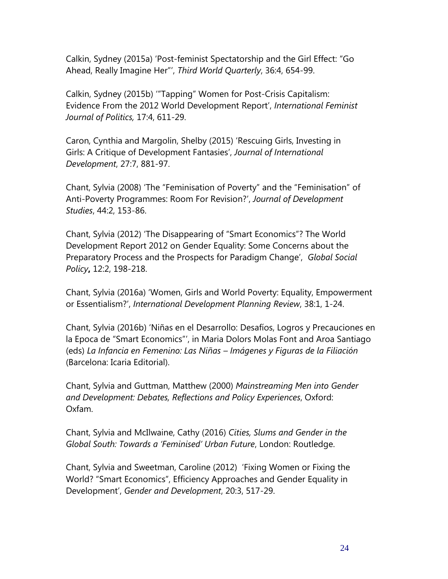Calkin, Sydney (2015a) 'Post-feminist Spectatorship and the Girl Effect: "Go Ahead, Really Imagine Her"', *Third World Quarterly*, 36:4, 654-99.

Calkin, Sydney (2015b) '"Tapping" Women for Post-Crisis Capitalism: Evidence From the 2012 World Development Report', *International Feminist Journal of Politics,* 17:4, 611-29.

Caron, Cynthia and Margolin, Shelby (2015) 'Rescuing Girls, Investing in Girls: A Critique of Development Fantasies', *Journal of International Development*, 27:7, 881-97.

Chant, Sylvia (2008) 'The "Feminisation of Poverty" and the "Feminisation" of Anti-Poverty Programmes: Room For Revision?', *Journal of Development Studies*, 44:2, 153-86.

Chant, Sylvia (2012) 'The Disappearing of "Smart Economics"? The World Development Report 2012 on Gender Equality: Some Concerns about the Preparatory Process and the Prospects for Paradigm Change', *Global Social Policy***,** 12:2, 198-218.

Chant, Sylvia (2016a) 'Women, Girls and World Poverty: Equality, Empowerment or Essentialism?', *International Development Planning Review*, 38:1, 1-24.

Chant, Sylvia (2016b) 'Niñas en el Desarrollo: Desafíos, Logros y Precauciones en la Epoca de "Smart Economics"', in Maria Dolors Molas Font and Aroa Santiago (eds) *La Infancia en Femenino: Las Niñas – Imágenes y Figuras de la Filiación* (Barcelona: Icaria Editorial).

Chant, Sylvia and Guttman, Matthew (2000) *Mainstreaming Men into Gender and Development: Debates, Reflections and Policy Experiences*, Oxford: Oxfam.

Chant, Sylvia and McIlwaine, Cathy (2016) *Cities, Slums and Gender in the Global South: Towards a 'Feminised' Urban Future*, London: Routledge.

Chant, Sylvia and Sweetman, Caroline (2012) 'Fixing Women or Fixing the World? "Smart Economics", Efficiency Approaches and Gender Equality in Development', *Gender and Development*, 20:3, 517-29.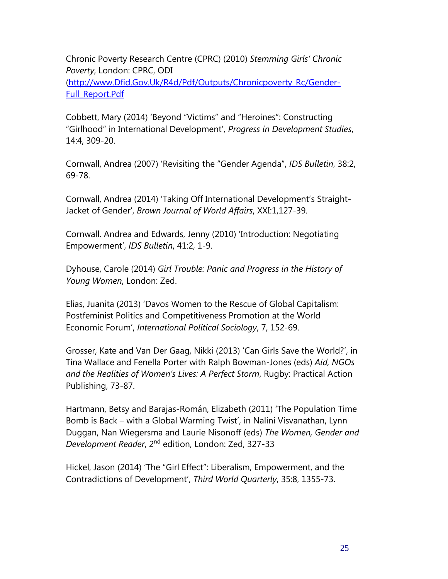Chronic Poverty Research Centre (CPRC) (2010) *Stemming Girls' Chronic Poverty*, London: CPRC, ODI [\(http://www.Dfid.Gov.Uk/R4d/Pdf/Outputs/Chronicpoverty\\_Rc/Gender-](http://www.dfid.gov.uk/R4d/Pdf/Outputs/Chronicpoverty_Rc/G)Full\_Report.Pdf

Cobbett, Mary (2014) 'Beyond "Victims" and "Heroines": Constructing "Girlhood" in International Development', *Progress in Development Studies*, 14:4, 309-20.

Cornwall, Andrea (2007) 'Revisiting the "Gender Agenda", *IDS Bulletin*, 38:2, 69-78.

Cornwall, Andrea (2014) 'Taking Off International Development's Straight-Jacket of Gender', *Brown Journal of World Affairs*, XXI:1,127-39.

Cornwall. Andrea and Edwards, Jenny (2010) 'Introduction: Negotiating Empowerment', *IDS Bulletin*, 41:2, 1-9.

Dyhouse, Carole (2014) *Girl Trouble: Panic and Progress in the History of Young Women*, London: Zed.

Elias, Juanita (2013) 'Davos Women to the Rescue of Global Capitalism: Postfeminist Politics and Competitiveness Promotion at the World Economic Forum', *International Political Sociology*, 7, 152-69.

Grosser, Kate and Van Der Gaag, Nikki (2013) 'Can Girls Save the World?', in Tina Wallace and Fenella Porter with Ralph Bowman-Jones (eds) *Aid, NGOs and the Realities of Women's Lives: A Perfect Storm*, Rugby: Practical Action Publishing, 73-87.

Hartmann, Betsy and Barajas-Román, Elizabeth (2011) 'The Population Time Bomb is Back – with a Global Warming Twist', in Nalini Visvanathan, Lynn Duggan, Nan Wiegersma and Laurie Nisonoff (eds) *The Women, Gender and Development Reader*, 2nd edition, London: Zed, 327-33

Hickel, Jason (2014) 'The "Girl Effect": Liberalism, Empowerment, and the Contradictions of Development', *Third World Quarterly*, 35:8, 1355-73.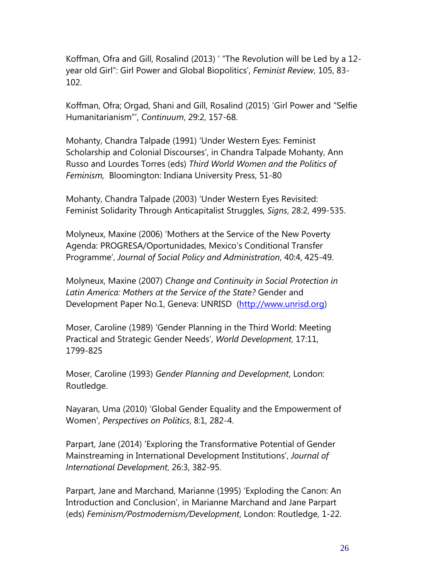Koffman, Ofra and Gill, Rosalind (2013) ' "The Revolution will be Led by a 12 year old Girl": Girl Power and Global Biopolitics', *Feminist Review*, 105, 83- 102.

Koffman, Ofra; Orgad, Shani and Gill, Rosalind (2015) 'Girl Power and "Selfie Humanitarianism"', *Continuum*, 29:2, 157-68.

Mohanty, Chandra Talpade (1991) 'Under Western Eyes: Feminist Scholarship and Colonial Discourses', in Chandra Talpade Mohanty, Ann Russo and Lourdes Torres (eds) *Third World Women and the Politics of Feminism,* Bloomington: Indiana University Press, 51-80

Mohanty, Chandra Talpade (2003) 'Under Western Eyes Revisited: Feminist Solidarity Through Anticapitalist Struggles, *Signs*, 28:2, 499-535.

Molyneux, Maxine (2006) 'Mothers at the Service of the New Poverty Agenda: PROGRESA/Oportunidades, Mexico's Conditional Transfer Programme', *Journal of Social Policy and Administration*, 40:4, 425-49.

Molyneux, Maxine (2007) *Change and Continuity in Social Protection in Latin America: Mothers at the Service of the State?* Gender and Development Paper No.1, Geneva: UNRISD [\(http://www.unrisd.org\)](http://www.unrisd.org/)

Moser, Caroline (1989) 'Gender Planning in the Third World: Meeting Practical and Strategic Gender Needs', *World Development*, 17:11, 1799-825

Moser, Caroline (1993) *Gender Planning and Development*, London: Routledge.

Nayaran, Uma (2010) 'Global Gender Equality and the Empowerment of Women', *Perspectives on Politics*, 8:1, 282-4.

Parpart, Jane (2014) 'Exploring the Transformative Potential of Gender Mainstreaming in International Development Institutions', *Journal of International Development*, 26:3, 382-95.

Parpart, Jane and Marchand, Marianne (1995) 'Exploding the Canon: An Introduction and Conclusion', in Marianne Marchand and Jane Parpart (eds) *Feminism/Postmodernism/Development*, London: Routledge, 1-22.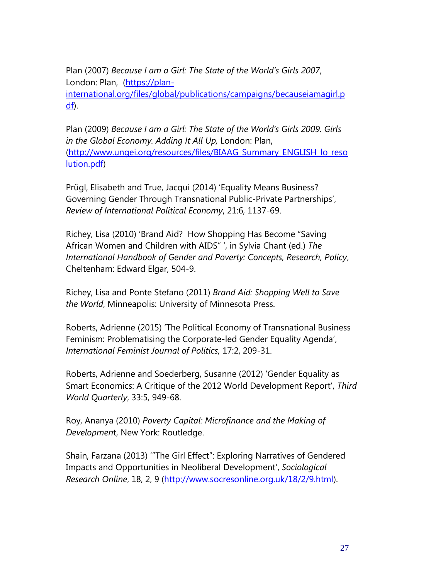Plan (2007) *Because I am a Girl: The State of the World's Girls 2007*, London: Plan, [\(https://plan](https://plan-international.org/files/global/publications/campaigns/becauseiamagirl.pdf)[international.org/files/global/publications/campaigns/becauseiamagirl.p](https://plan-international.org/files/global/publications/campaigns/becauseiamagirl.pdf) [df\)](https://plan-international.org/files/global/publications/campaigns/becauseiamagirl.pdf).

Plan (2009) *Because I am a Girl: The State of the World's Girls 2009. Girls in the Global Economy. Adding It All Up,* London: Plan, [\(http://www.ungei.org/resources/files/BIAAG\\_Summary\\_ENGLISH\\_lo\\_reso](http://www.ungei.org/resources/files/BIAAG_Summary_ENGLISH_lo_resolution.pdf) [lution.pdf\)](http://www.ungei.org/resources/files/BIAAG_Summary_ENGLISH_lo_resolution.pdf)

Prügl, Elisabeth and True, Jacqui (2014) 'Equality Means Business? Governing Gender Through Transnational Public-Private Partnerships', *Review of International Political Economy*, 21:6, 1137-69.

Richey, Lisa (2010) 'Brand Aid? How Shopping Has Become "Saving African Women and Children with AIDS" ', in Sylvia Chant (ed.) *The International Handbook of Gender and Poverty: Concepts, Research, Policy*, Cheltenham: Edward Elgar, 504-9.

Richey, Lisa and Ponte Stefano (2011) *Brand Aid: Shopping Well to Save the World*, Minneapolis: University of Minnesota Press.

Roberts, Adrienne (2015) 'The Political Economy of Transnational Business Feminism: Problematising the Corporate-led Gender Equality Agenda', *International Feminist Journal of Politics,* 17:2, 209-31.

Roberts, Adrienne and Soederberg, Susanne (2012) 'Gender Equality as Smart Economics: A Critique of the 2012 World Development Report', *Third World Quarterly*, 33:5, 949-68.

Roy, Ananya (2010) *Poverty Capital: Microfinance and the Making of Developmen*t, New York: Routledge.

Shain, Farzana (2013) '"The Girl Effect": Exploring Narratives of Gendered Impacts and Opportunities in Neoliberal Development', *Sociological Research Online*, 18, 2, 9 [\(http://www.socresonline.org.uk/18/2/9.html\)](http://www.socresonline.org.uk/18/2/9.html).